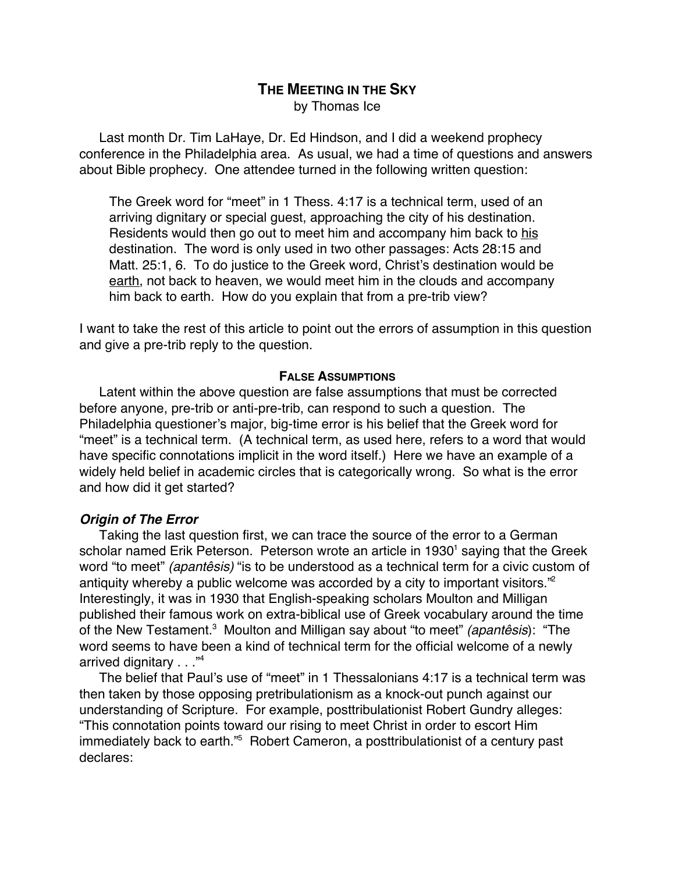# **THE MEETING IN THE SKY** by Thomas Ice

Last month Dr. Tim LaHaye, Dr. Ed Hindson, and I did a weekend prophecy conference in the Philadelphia area. As usual, we had a time of questions and answers about Bible prophecy. One attendee turned in the following written question:

The Greek word for "meet" in 1 Thess. 4:17 is a technical term, used of an arriving dignitary or special guest, approaching the city of his destination. Residents would then go out to meet him and accompany him back to his destination. The word is only used in two other passages: Acts 28:15 and Matt. 25:1, 6. To do justice to the Greek word, Christ's destination would be earth, not back to heaven, we would meet him in the clouds and accompany him back to earth. How do you explain that from a pre-trib view?

I want to take the rest of this article to point out the errors of assumption in this question and give a pre-trib reply to the question.

### **FALSE ASSUMPTIONS**

Latent within the above question are false assumptions that must be corrected before anyone, pre-trib or anti-pre-trib, can respond to such a question. The Philadelphia questioner's major, big-time error is his belief that the Greek word for "meet" is a technical term. (A technical term, as used here, refers to a word that would have specific connotations implicit in the word itself.) Here we have an example of a widely held belief in academic circles that is categorically wrong. So what is the error and how did it get started?

### **Origin of The Error**

Taking the last question first, we can trace the source of the error to a German scholar named Erik Peterson. Peterson wrote an article in 1930<sup>1</sup> saying that the Greek word "to meet" (apantêsis) "is to be understood as a technical term for a civic custom of antiquity whereby a public welcome was accorded by a city to important visitors."<sup>2</sup> Interestingly, it was in 1930 that English-speaking scholars Moulton and Milligan published their famous work on extra-biblical use of Greek vocabulary around the time of the New Testament.<sup>3</sup> Moulton and Milligan say about "to meet" *(apantêsis*): "The word seems to have been a kind of technical term for the official welcome of a newly arrived dignitary . . . "4

The belief that Paul's use of "meet" in 1 Thessalonians 4:17 is a technical term was then taken by those opposing pretribulationism as a knock-out punch against our understanding of Scripture. For example, posttribulationist Robert Gundry alleges: "This connotation points toward our rising to meet Christ in order to escort Him immediately back to earth."<sup>5</sup> Robert Cameron, a posttribulationist of a century past declares: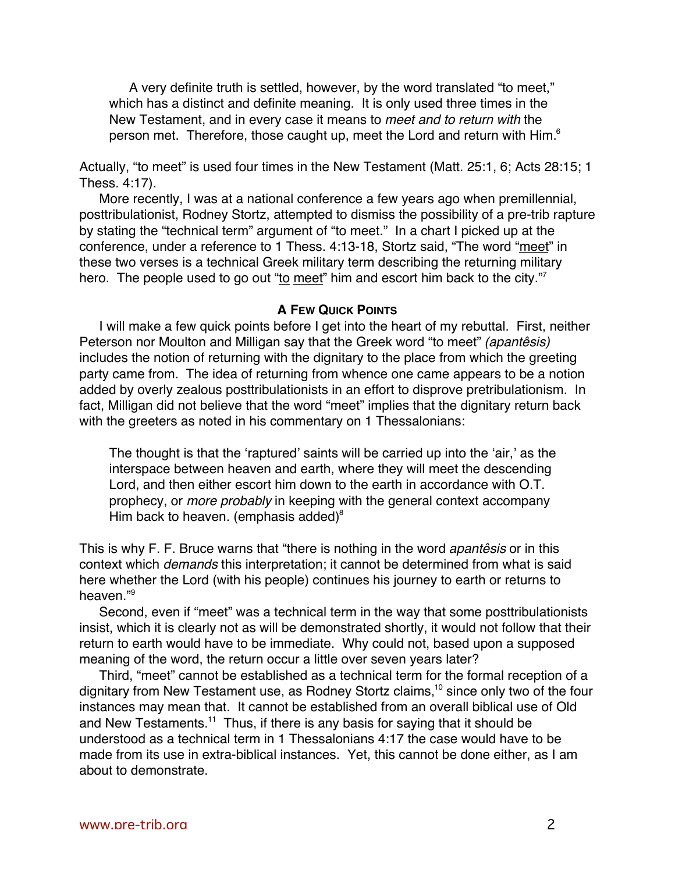A very definite truth is settled, however, by the word translated "to meet," which has a distinct and definite meaning. It is only used three times in the New Testament, and in every case it means to meet and to return with the person met. Therefore, those caught up, meet the Lord and return with Him.<sup>6</sup>

Actually, "to meet" is used four times in the New Testament (Matt. 25:1, 6; Acts 28:15; 1 Thess. 4:17).

More recently, I was at a national conference a few years ago when premillennial, posttribulationist, Rodney Stortz, attempted to dismiss the possibility of a pre-trib rapture by stating the "technical term" argument of "to meet." In a chart I picked up at the conference, under a reference to 1 Thess. 4:13-18, Stortz said, "The word "meet" in these two verses is a technical Greek military term describing the returning military hero. The people used to go out "to meet" him and escort him back to the city."

#### **A FEW QUICK POINTS**

I will make a few quick points before I get into the heart of my rebuttal. First, neither Peterson nor Moulton and Milligan say that the Greek word "to meet" (apantêsis) includes the notion of returning with the dignitary to the place from which the greeting party came from. The idea of returning from whence one came appears to be a notion added by overly zealous posttribulationists in an effort to disprove pretribulationism. In fact, Milligan did not believe that the word "meet" implies that the dignitary return back with the greeters as noted in his commentary on 1 Thessalonians:

The thought is that the 'raptured' saints will be carried up into the 'air,' as the interspace between heaven and earth, where they will meet the descending Lord, and then either escort him down to the earth in accordance with O.T. prophecy, or more probably in keeping with the general context accompany Him back to heaven. (emphasis added) $8<sup>8</sup>$ 

This is why F. F. Bruce warns that "there is nothing in the word *apantêsis* or in this context which demands this interpretation; it cannot be determined from what is said here whether the Lord (with his people) continues his journey to earth or returns to heaven."9

Second, even if "meet" was a technical term in the way that some posttribulationists insist, which it is clearly not as will be demonstrated shortly, it would not follow that their return to earth would have to be immediate. Why could not, based upon a supposed meaning of the word, the return occur a little over seven years later?

Third, "meet" cannot be established as a technical term for the formal reception of a dignitary from New Testament use, as Rodney Stortz claims,<sup>10</sup> since only two of the four instances may mean that. It cannot be established from an overall biblical use of Old and New Testaments.<sup>11</sup> Thus, if there is any basis for saying that it should be understood as a technical term in 1 Thessalonians 4:17 the case would have to be made from its use in extra-biblical instances. Yet, this cannot be done either, as I am about to demonstrate.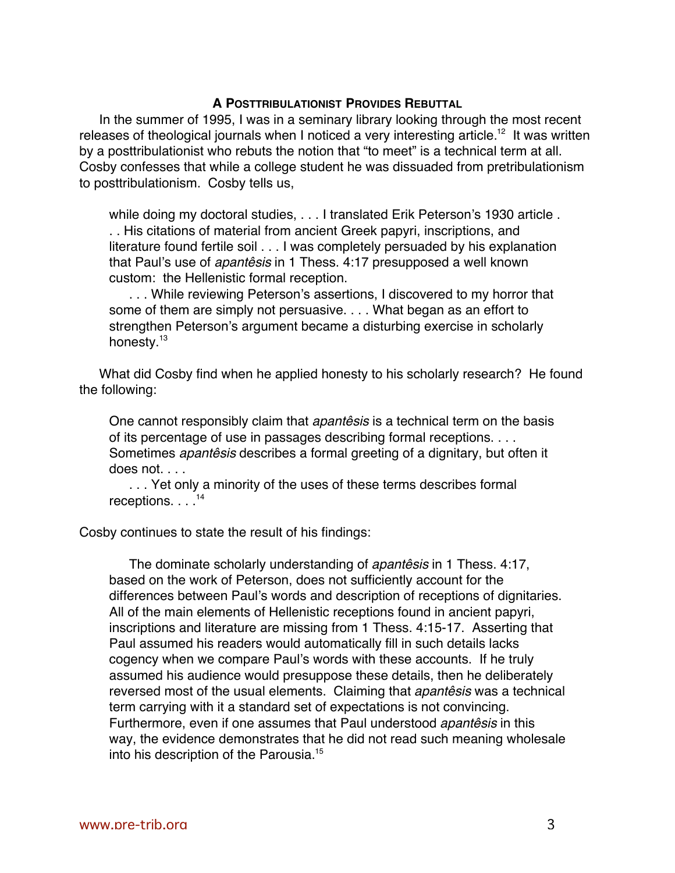## **A POSTTRIBULATIONIST PROVIDES REBUTTAL**

In the summer of 1995, I was in a seminary library looking through the most recent releases of theological journals when I noticed a very interesting article.<sup>12</sup> It was written by a posttribulationist who rebuts the notion that "to meet" is a technical term at all. Cosby confesses that while a college student he was dissuaded from pretribulationism to posttribulationism. Cosby tells us,

while doing my doctoral studies, . . . I translated Erik Peterson's 1930 article . . . His citations of material from ancient Greek papyri, inscriptions, and literature found fertile soil . . . I was completely persuaded by his explanation that Paul's use of apantêsis in 1 Thess. 4:17 presupposed a well known custom: the Hellenistic formal reception.

. . . While reviewing Peterson's assertions, I discovered to my horror that some of them are simply not persuasive. . . . What began as an effort to strengthen Peterson's argument became a disturbing exercise in scholarly honesty.<sup>13</sup>

What did Cosby find when he applied honesty to his scholarly research? He found the following:

One cannot responsibly claim that *apantêsis* is a technical term on the basis of its percentage of use in passages describing formal receptions. . . . Sometimes apantêsis describes a formal greeting of a dignitary, but often it does not. . . .

. . . Yet only a minority of the uses of these terms describes formal receptions. . . .<sup>14</sup>

Cosby continues to state the result of his findings:

The dominate scholarly understanding of *apantêsis* in 1 Thess. 4:17, based on the work of Peterson, does not sufficiently account for the differences between Paul's words and description of receptions of dignitaries. All of the main elements of Hellenistic receptions found in ancient papyri, inscriptions and literature are missing from 1 Thess. 4:15-17. Asserting that Paul assumed his readers would automatically fill in such details lacks cogency when we compare Paul's words with these accounts. If he truly assumed his audience would presuppose these details, then he deliberately reversed most of the usual elements. Claiming that *apantêsis* was a technical term carrying with it a standard set of expectations is not convincing. Furthermore, even if one assumes that Paul understood apantêsis in this way, the evidence demonstrates that he did not read such meaning wholesale into his description of the Parousia.<sup>15</sup>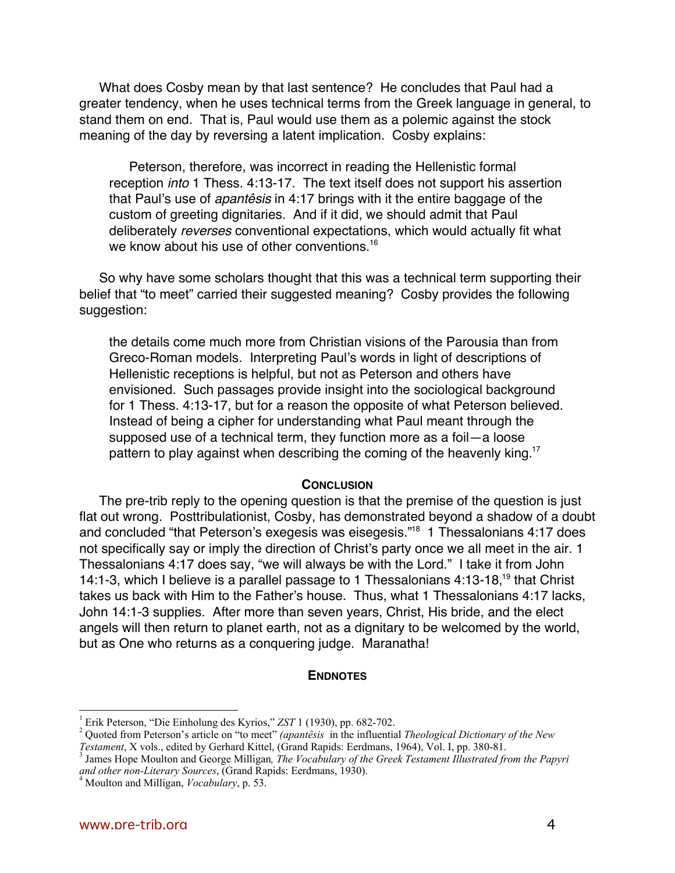What does Cosby mean by that last sentence? He concludes that Paul had a greater tendency, when he uses technical terms from the Greek language in general, to stand them on end. That is, Paul would use them as a polemic against the stock meaning of the day by reversing a latent implication. Cosby explains:

Peterson, therefore, was incorrect in reading the Hellenistic formal reception into 1 Thess. 4:13-17. The text itself does not support his assertion that Paul's use of apantêsis in 4:17 brings with it the entire baggage of the custom of greeting dignitaries. And if it did, we should admit that Paul deliberately reverses conventional expectations, which would actually fit what we know about his use of other conventions.<sup>16</sup>

So why have some scholars thought that this was a technical term supporting their belief that "to meet" carried their suggested meaning? Cosby provides the following suggestion:

the details come much more from Christian visions of the Parousia than from Greco-Roman models. Interpreting Paul's words in light of descriptions of Hellenistic receptions is helpful, but not as Peterson and others have envisioned. Such passages provide insight into the sociological background for 1 Thess. 4:13-17, but for a reason the opposite of what Peterson believed. Instead of being a cipher for understanding what Paul meant through the supposed use of a technical term, they function more as a foil—a loose pattern to play against when describing the coming of the heavenly king.<sup>17</sup>

### **CONCLUSION**

The pre-trib reply to the opening question is that the premise of the question is just flat out wrong. Posttribulationist, Cosby, has demonstrated beyond a shadow of a doubt and concluded "that Peterson's exegesis was eisegesis."<sup>18</sup> 1 Thessalonians 4:17 does not specifically say or imply the direction of Christ's party once we all meet in the air. 1 Thessalonians 4:17 does say, "we will always be with the Lord." I take it from John 14:1-3, which I believe is a parallel passage to 1 Thessalonians 4:13-18,<sup>19</sup> that Christ takes us back with Him to the Father's house. Thus, what 1 Thessalonians 4:17 lacks, John 14:1-3 supplies. After more than seven years, Christ, His bride, and the elect angels will then return to planet earth, not as a dignitary to be welcomed by the world, but as One who returns as a conquering judge. Maranatha!

#### **ENDNOTES**

 $\frac{1}{1}$ Erik Peterson, "Die Einholung des Kyrios," *ZST* 1 (1930), pp. 682-702.

Quoted from Peterson's article on "to meet" *(apantêsis* in the influential *Theological Dictionary of the New Testament*, X vols., edited by Gerhard Kittel, (Grand Rapids: Eerdmans, 1964), Vol. I, pp. 380-81.

<sup>&</sup>lt;sup>3</sup> James Hope Moulton and George Milligan, *The Vocabulary of the Greek Testament Illustrated from the Papyri and other non-Literary Sources*, (Grand Rapids: Eerdmans, 1930). <sup>4</sup>

Moulton and Milligan, *Vocabulary*, p. 53.